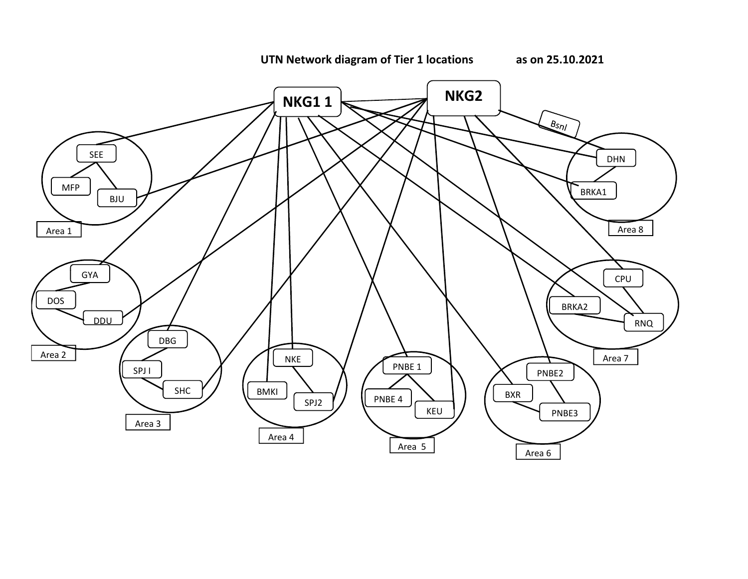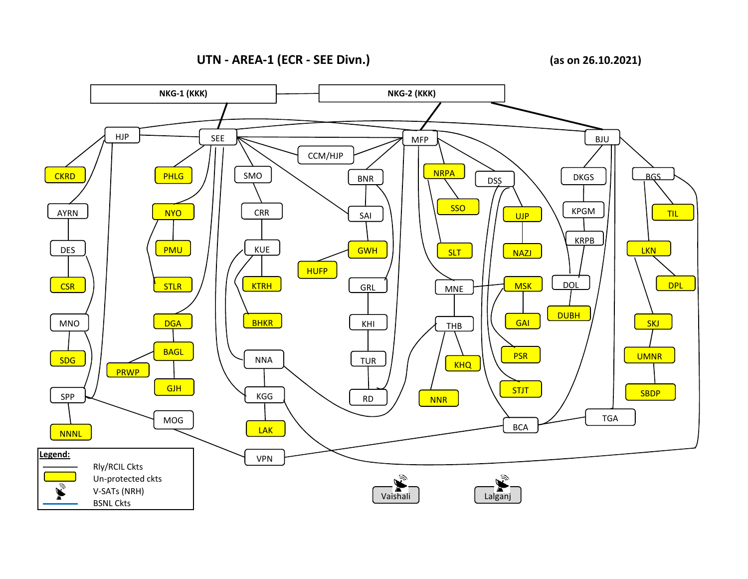**UTN - AREA-1 (ECR - SEE Divn.)**

**(as on 26.10.2021)**

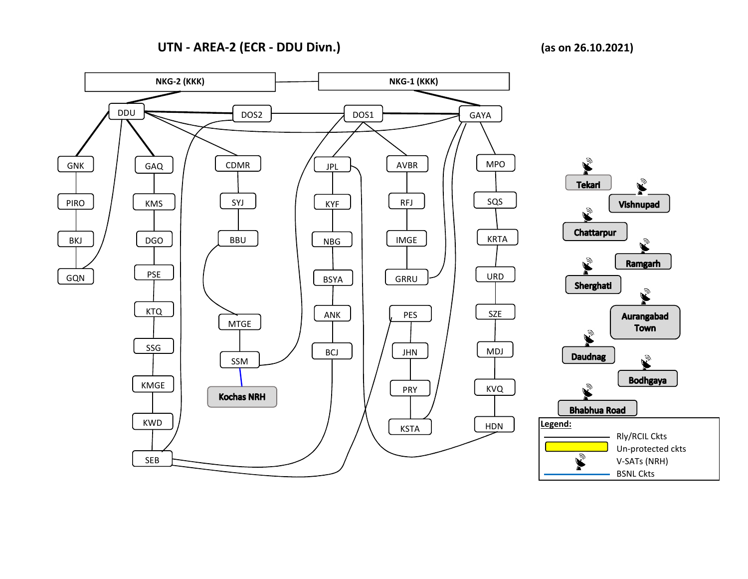## **UTN - AREA-2 (ECR - DDU Divn.) (as on 26.10.2021)**

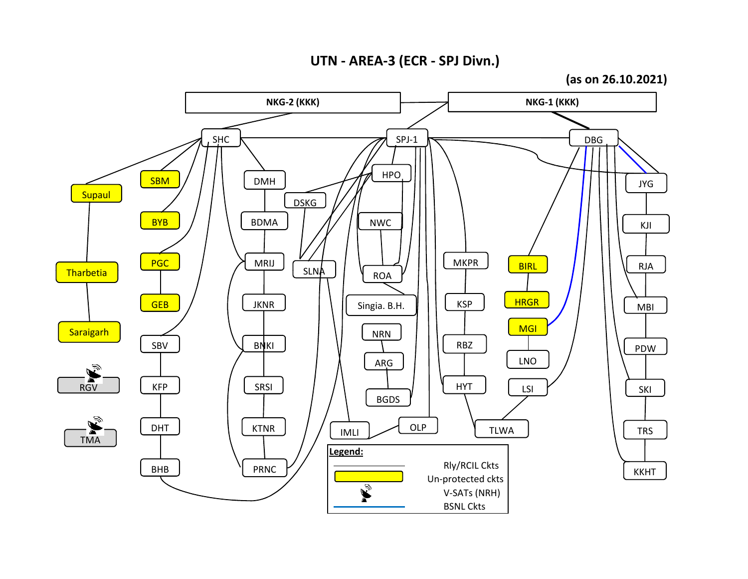**UTN - AREA-3 (ECR - SPJ Divn.)**

**(as on 26.10.2021)**

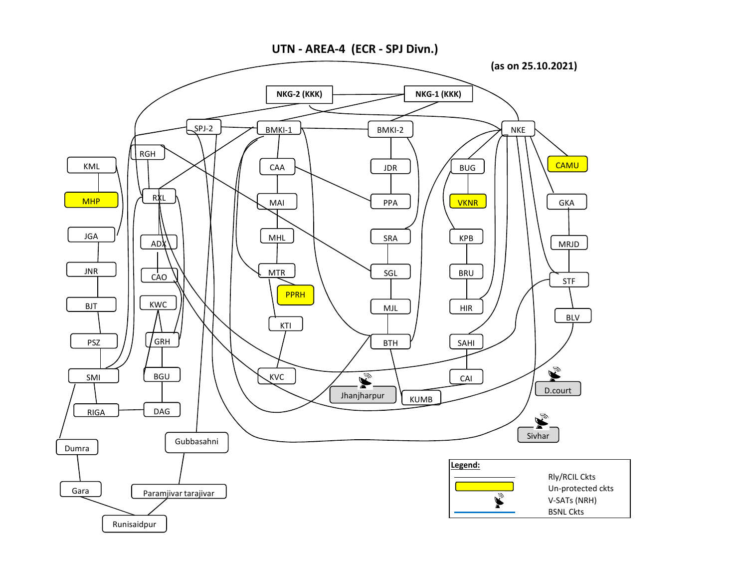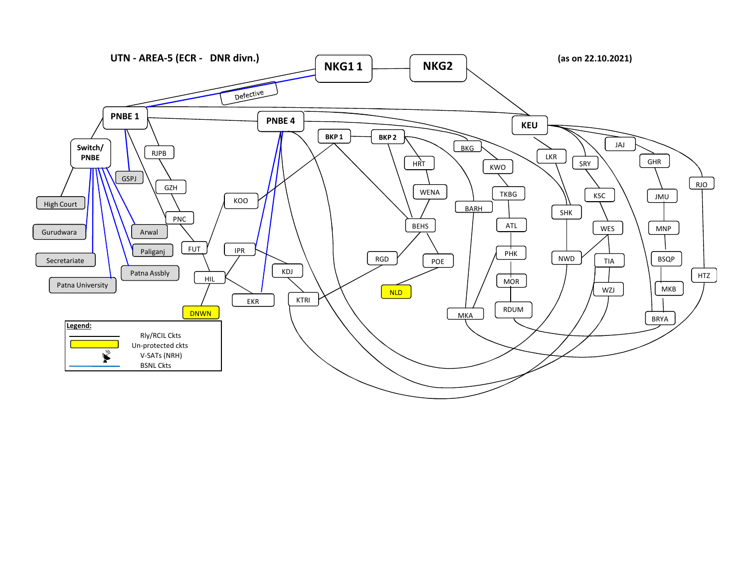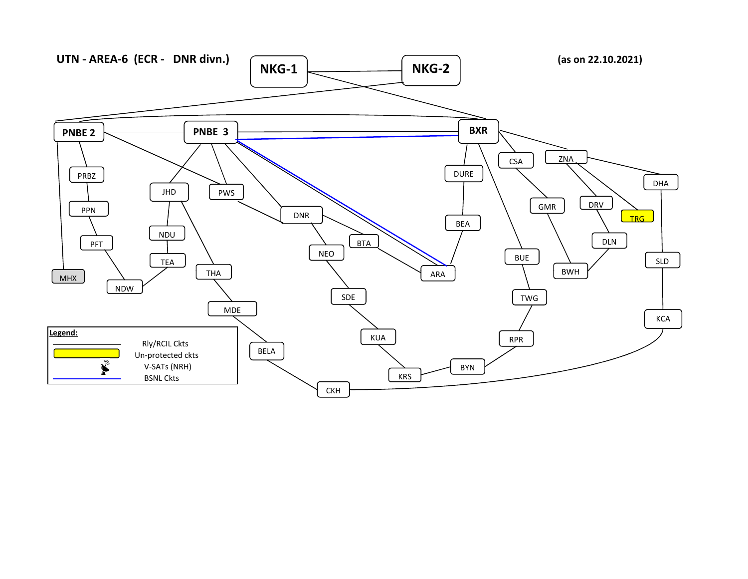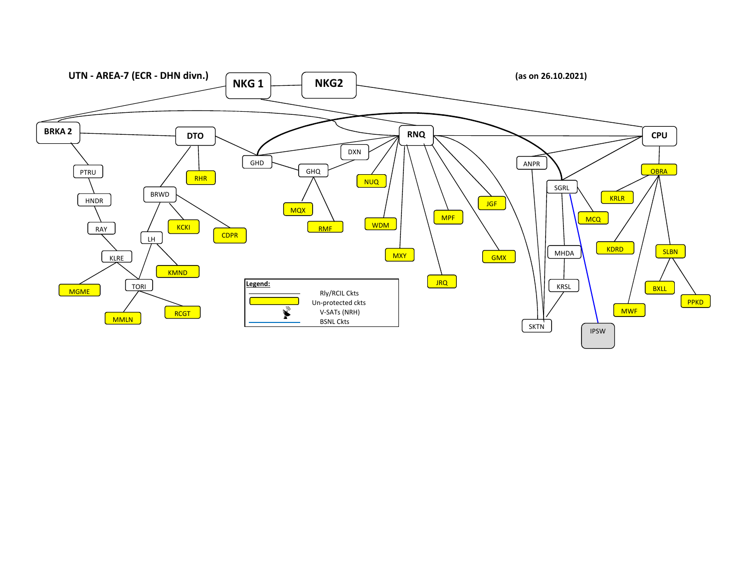